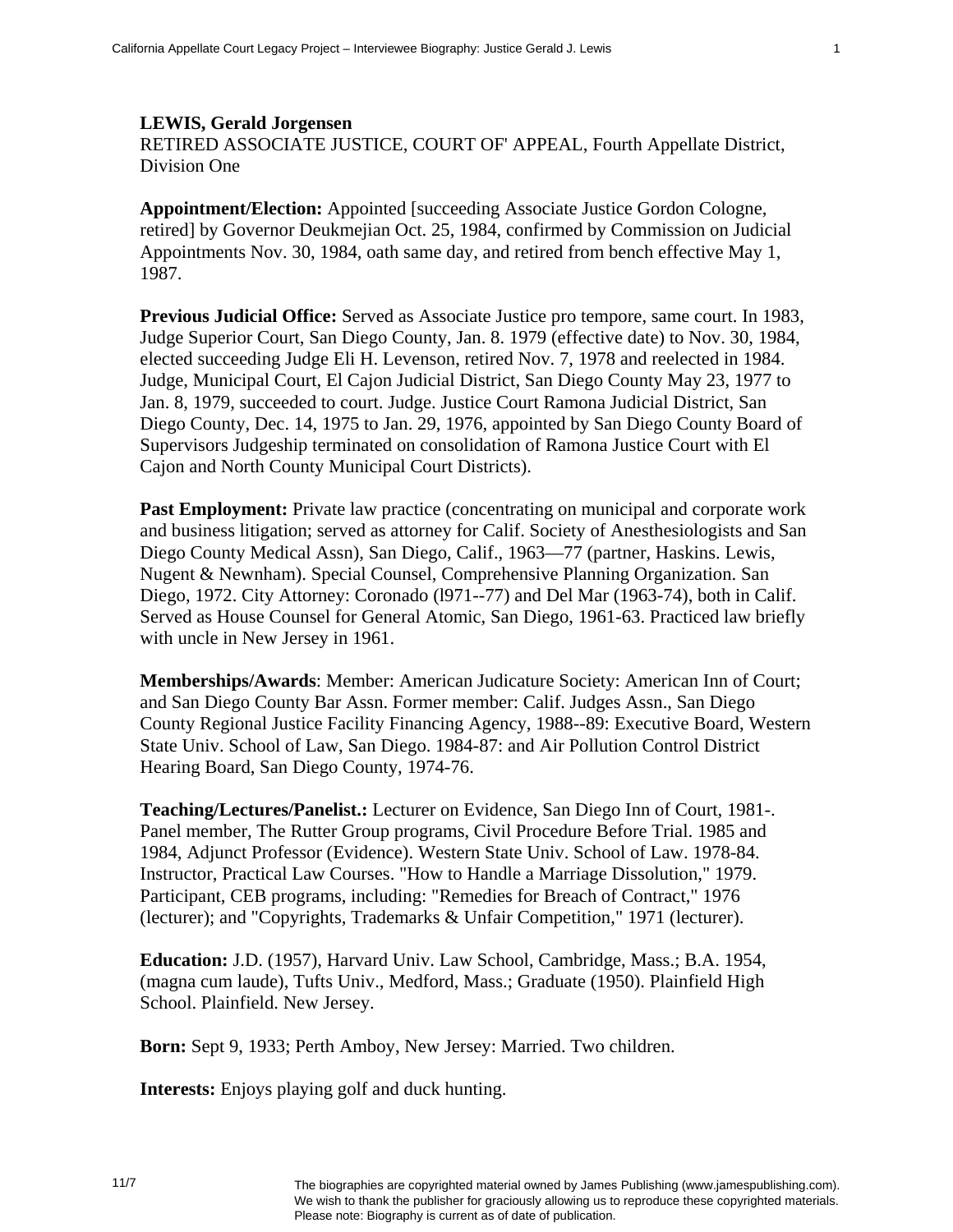## **LEWIS, Gerald Jorgensen**

RETIRED ASSOCIATE JUSTICE, COURT OF' APPEAL, Fourth Appellate District, Division One

**Appointment/Election:** Appointed [succeeding Associate Justice Gordon Cologne, retired] by Governor Deukmejian Oct. 25, 1984, confirmed by Commission on Judicial Appointments Nov. 30, 1984, oath same day, and retired from bench effective May 1, 1987.

**Previous Judicial Office:** Served as Associate Justice pro tempore, same court. In 1983, Judge Superior Court, San Diego County, Jan. 8. 1979 (effective date) to Nov. 30, 1984, elected succeeding Judge Eli H. Levenson, retired Nov. 7, 1978 and reelected in 1984. Judge, Municipal Court, El Cajon Judicial District, San Diego County May 23, 1977 to Jan. 8, 1979, succeeded to court. Judge. Justice Court Ramona Judicial District, San Diego County, Dec. 14, 1975 to Jan. 29, 1976, appointed by San Diego County Board of Supervisors Judgeship terminated on consolidation of Ramona Justice Court with El Cajon and North County Municipal Court Districts).

**Past Employment:** Private law practice (concentrating on municipal and corporate work and business litigation; served as attorney for Calif. Society of Anesthesiologists and San Diego County Medical Assn), San Diego, Calif., 1963—77 (partner, Haskins. Lewis, Nugent & Newnham). Special Counsel, Comprehensive Planning Organization. San Diego, 1972. City Attorney: Coronado (l971--77) and Del Mar (1963-74), both in Calif. Served as House Counsel for General Atomic, San Diego, 1961-63. Practiced law briefly with uncle in New Jersey in 1961.

**Memberships/Awards**: Member: American Judicature Society: American Inn of Court; and San Diego County Bar Assn. Former member: Calif. Judges Assn., San Diego County Regional Justice Facility Financing Agency, 1988--89: Executive Board, Western State Univ. School of Law, San Diego. 1984-87: and Air Pollution Control District Hearing Board, San Diego County, 1974-76.

**Teaching/Lectures/Panelist.:** Lecturer on Evidence, San Diego Inn of Court, 1981-. Panel member, The Rutter Group programs, Civil Procedure Before Trial. 1985 and 1984, Adjunct Professor (Evidence). Western State Univ. School of Law. 1978-84. Instructor, Practical Law Courses. "How to Handle a Marriage Dissolution," 1979. Participant, CEB programs, including: "Remedies for Breach of Contract," 1976 (lecturer); and "Copyrights, Trademarks & Unfair Competition," 1971 (lecturer).

**Education:** J.D. (1957), Harvard Univ. Law School, Cambridge, Mass.; B.A. 1954, (magna cum laude), Tufts Univ., Medford, Mass.; Graduate (1950). Plainfield High School. Plainfield. New Jersey.

**Born:** Sept 9, 1933; Perth Amboy, New Jersey: Married. Two children.

**Interests:** Enjoys playing golf and duck hunting.